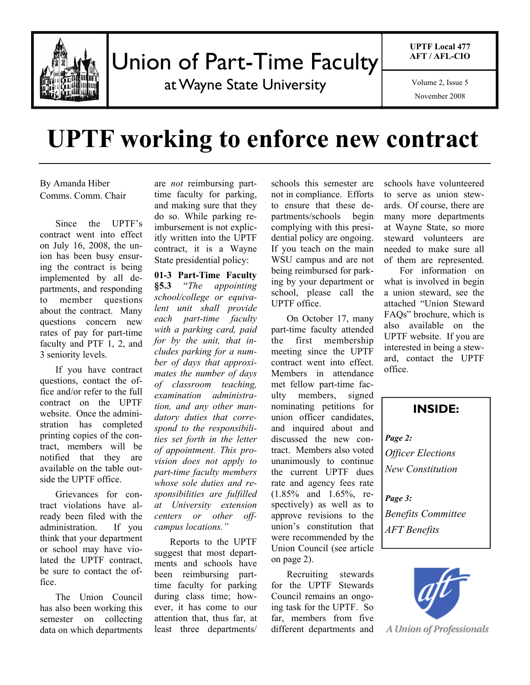

## Union of Part-Time Faculty

at Wayne State University

**UPTF Local 477 AFT / AFL-CIO** 

November 2008

# **UPTF working to enforce new contract**

By Amanda Hiber Comms. Comm. Chair

 Since the UPTF's contract went into effect on July 16, 2008, the union has been busy ensuring the contract is being implemented by all departments, and responding to member questions about the contract. Many questions concern new rates of pay for part-time faculty and PTF 1, 2, and 3 seniority levels.

 If you have contract questions, contact the office and/or refer to the full contract on the UPTF website. Once the administration has completed printing copies of the contract, members will be notified that they are available on the table outside the UPTF office.

 Grievances for contract violations have already been filed with the administration. If you think that your department or school may have violated the UPTF contract, be sure to contact the office.

 The Union Council has also been working this semester on collecting data on which departments are *not* reimbursing parttime faculty for parking, and making sure that they do so. While parking reimbursement is not explicitly written into the UPTF contract, it is a Wayne State presidential policy:

**01-3 Part-Time Faculty §5.3** "*The appointing school/college or equivalent unit shall provide each part-time faculty with a parking card, paid for by the unit, that includes parking for a number of days that approximates the number of days of classroom teaching, examination administration, and any other mandatory duties that correspond to the responsibilities set forth in the letter of appointment. This provision does not apply to part-time faculty members whose sole duties and responsibilities are fulfilled at University extension centers or other offcampus locations."* 

 Reports to the UPTF suggest that most departments and schools have been reimbursing parttime faculty for parking during class time; however, it has come to our attention that, thus far, at least three departments/ schools this semester are not in compliance. Efforts to ensure that these departments/schools begin complying with this presidential policy are ongoing. If you teach on the main WSU campus and are not being reimbursed for parking by your department or school, please call the UPTF office.

 On October 17, many part-time faculty attended the first membership meeting since the UPTF contract went into effect. Members in attendance met fellow part-time faculty members, signed nominating petitions for union officer candidates, and inquired about and discussed the new contract. Members also voted unanimously to continue the current UPTF dues rate and agency fees rate (1.85% and 1.65%, respectively) as well as to approve revisions to the union's constitution that were recommended by the Union Council (see article on page 2).

 Recruiting stewards for the UPTF Stewards Council remains an ongoing task for the UPTF. So far, members from five different departments and

schools have volunteered to serve as union stewards. Of course, there are many more departments at Wayne State, so more steward volunteers are needed to make sure all of them are represented.

 For information on what is involved in begin a union steward, see the attached "Union Steward FAQs" brochure, which is also available on the UPTF website. If you are interested in being a steward, contact the UPTF office.

**INSIDE:**  *Page 2: Officer Elections New Constitution Page 3: Benefits Committee AFT Benefits*



A Union of Professionals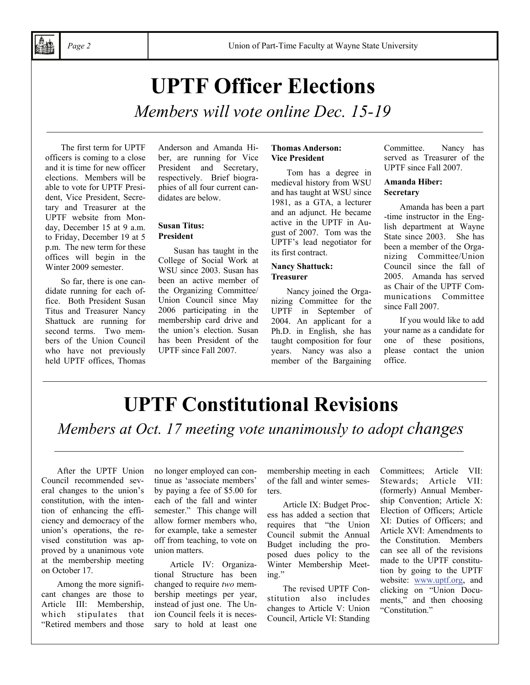# **UPTF Officer Elections**

*Members will vote online Dec. 15-19* 

 The first term for UPTF officers is coming to a close and it is time for new officer elections. Members will be able to vote for UPTF President, Vice President, Secretary and Treasurer at the UPTF website from Monday, December 15 at 9 a.m. to Friday, December 19 at 5 p.m. The new term for these offices will begin in the Winter 2009 semester.

 So far, there is one candidate running for each office. Both President Susan Titus and Treasurer Nancy Shattuck are running for second terms. Two members of the Union Council who have not previously held UPTF offices, Thomas

Anderson and Amanda Hiber, are running for Vice President and Secretary, respectively. Brief biographies of all four current candidates are below.

#### **Susan Titus: President**

 Susan has taught in the College of Social Work at WSU since 2003. Susan has been an active member of the Organizing Committee/ Union Council since May 2006 participating in the membership card drive and the union's election. Susan has been President of the UPTF since Fall 2007.

#### **Thomas Anderson: Vice President**

 Tom has a degree in medieval history from WSU and has taught at WSU since 1981, as a GTA, a lecturer and an adjunct. He became active in the UPTF in August of 2007. Tom was the UPTF's lead negotiator for its first contract.

#### **Nancy Shattuck: Treasurer**

 Nancy joined the Organizing Committee for the UPTF in September of 2004. An applicant for a Ph.D. in English, she has taught composition for four years. Nancy was also a member of the Bargaining Committee. Nancy has served as Treasurer of the UPTF since Fall 2007.

#### **Amanda Hiber: Secretary**

 Amanda has been a part -time instructor in the English department at Wayne State since 2003. She has been a member of the Organizing Committee/Union Council since the fall of 2005. Amanda has served as Chair of the UPTF Communications Committee since Fall 2007.

 If you would like to add your name as a candidate for one of these positions, please contact the union office.

# **UPTF Constitutional Revisions**

*Members at Oct. 17 meeting vote unanimously to adopt changes* 

 After the UPTF Union Council recommended several changes to the union's constitution, with the intention of enhancing the efficiency and democracy of the union's operations, the revised constitution was approved by a unanimous vote at the membership meeting on October 17.

 Among the more significant changes are those to Article III: Membership, which stipulates that "Retired members and those

no longer employed can continue as 'associate members' by paying a fee of \$5.00 for each of the fall and winter semester." This change will allow former members who, for example, take a semester off from teaching, to vote on union matters.

 Article IV: Organizational Structure has been changed to require *two* membership meetings per year, instead of just one. The Union Council feels it is necessary to hold at least one

membership meeting in each of the fall and winter semesters.

 Article IX: Budget Process has added a section that requires that "the Union Council submit the Annual Budget including the proposed dues policy to the Winter Membership Meeting."

 The revised UPTF Constitution also includes changes to Article V: Union Council, Article VI: Standing

Committees; Article VII: Stewards; Article VII: (formerly) Annual Membership Convention; Article X: Election of Officers; Article XI: Duties of Officers; and Article XVI: Amendments to the Constitution. Members can see all of the revisions made to the UPTF constitution by going to the UPTF website: www.uptf.org, and clicking on "Union Documents," and then choosing "Constitution."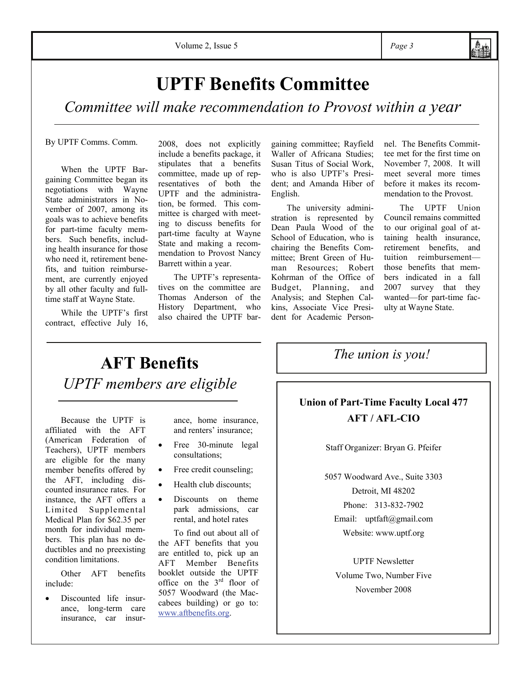## **UPTF Benefits Committee**

*Committee will make recommendation to Provost within a year* 

By UPTF Comms. Comm.

 When the UPTF Bargaining Committee began its negotiations with Wayne State administrators in November of 2007, among its goals was to achieve benefits for part-time faculty members. Such benefits, including health insurance for those who need it, retirement benefits, and tuition reimbursement, are currently enjoyed by all other faculty and fulltime staff at Wayne State.

 While the UPTF's first contract, effective July 16,

2008, does not explicitly include a benefits package, it stipulates that a benefits committee, made up of representatives of both the UPTF and the administration, be formed. This committee is charged with meeting to discuss benefits for part-time faculty at Wayne State and making a recommendation to Provost Nancy Barrett within a year.

 The UPTF's representatives on the committee are Thomas Anderson of the History Department, who also chaired the UPTF bargaining committee; Rayfield Waller of Africana Studies; Susan Titus of Social Work, who is also UPTF's President; and Amanda Hiber of English.

 The university administration is represented by Dean Paula Wood of the School of Education, who is chairing the Benefits Committee; Brent Green of Human Resources; Robert Kohrman of the Office of Budget, Planning, and Analysis; and Stephen Calkins, Associate Vice President for Academic Personnel. The Benefits Committee met for the first time on November 7, 2008. It will meet several more times before it makes its recommendation to the Provost.

 The UPTF Union Council remains committed to our original goal of attaining health insurance, retirement benefits, and tuition reimbursement those benefits that members indicated in a fall 2007 survey that they wanted—for part-time faculty at Wayne State.

### **AFT Benefits**  *UPTF members are eligible*

Because the UPTF is affiliated with the AFT (American Federation of Teachers), UPTF members are eligible for the many member benefits offered by the AFT, including discounted insurance rates. For instance, the AFT offers a Limited Supplemental Medical Plan for \$62.35 per month for individual members. This plan has no deductibles and no preexisting condition limitations.

 Other AFT benefits include:

Discounted life insurance, long-term care insurance, car insur-

ance, home insurance, and renters' insurance;

- Free 30-minute legal consultations;
- Free credit counseling;
- Health club discounts;
- Discounts on theme park admissions, car rental, and hotel rates

 To find out about all of the AFT benefits that you are entitled to, pick up an AFT Member Benefits booklet outside the UPTF office on the 3rd floor of 5057 Woodward (the Maccabees building) or go to: www.aftbenefits.org.

*The union is you!* 

#### **Union of Part-Time Faculty Local 477 AFT / AFL-CIO**

Staff Organizer: Bryan G. Pfeifer

5057 Woodward Ave., Suite 3303 Detroit, MI 48202 Phone: 313-832-7902

Email: uptfaft@gmail.com Website: www.uptf.org

UPTF Newsletter Volume Two, Number Five November 2008